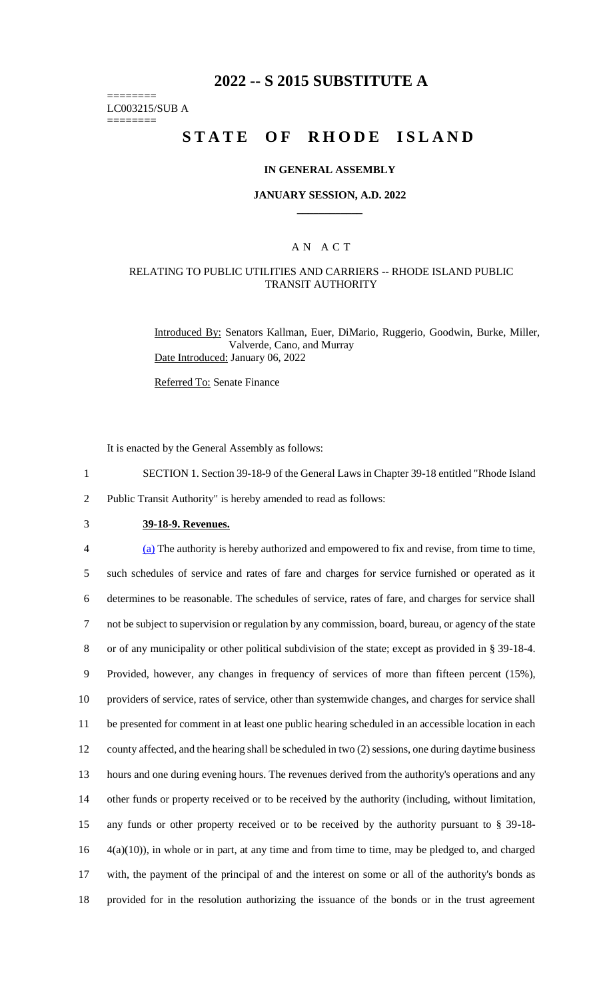# **2022 -- S 2015 SUBSTITUTE A**

======== LC003215/SUB A

========

# **STATE OF RHODE ISLAND**

#### **IN GENERAL ASSEMBLY**

#### **JANUARY SESSION, A.D. 2022 \_\_\_\_\_\_\_\_\_\_\_\_**

## A N A C T

### RELATING TO PUBLIC UTILITIES AND CARRIERS -- RHODE ISLAND PUBLIC TRANSIT AUTHORITY

Introduced By: Senators Kallman, Euer, DiMario, Ruggerio, Goodwin, Burke, Miller, Valverde, Cano, and Murray Date Introduced: January 06, 2022

Referred To: Senate Finance

It is enacted by the General Assembly as follows:

1 SECTION 1. Section 39-18-9 of the General Laws in Chapter 39-18 entitled "Rhode Island

2 Public Transit Authority" is hereby amended to read as follows:

3 **39-18-9. Revenues.**

 (a) The authority is hereby authorized and empowered to fix and revise, from time to time, such schedules of service and rates of fare and charges for service furnished or operated as it determines to be reasonable. The schedules of service, rates of fare, and charges for service shall not be subject to supervision or regulation by any commission, board, bureau, or agency of the state or of any municipality or other political subdivision of the state; except as provided in § 39-18-4. Provided, however, any changes in frequency of services of more than fifteen percent (15%), providers of service, rates of service, other than systemwide changes, and charges for service shall be presented for comment in at least one public hearing scheduled in an accessible location in each county affected, and the hearing shall be scheduled in two (2) sessions, one during daytime business hours and one during evening hours. The revenues derived from the authority's operations and any other funds or property received or to be received by the authority (including, without limitation, any funds or other property received or to be received by the authority pursuant to § 39-18- 4(a)(10)), in whole or in part, at any time and from time to time, may be pledged to, and charged with, the payment of the principal of and the interest on some or all of the authority's bonds as provided for in the resolution authorizing the issuance of the bonds or in the trust agreement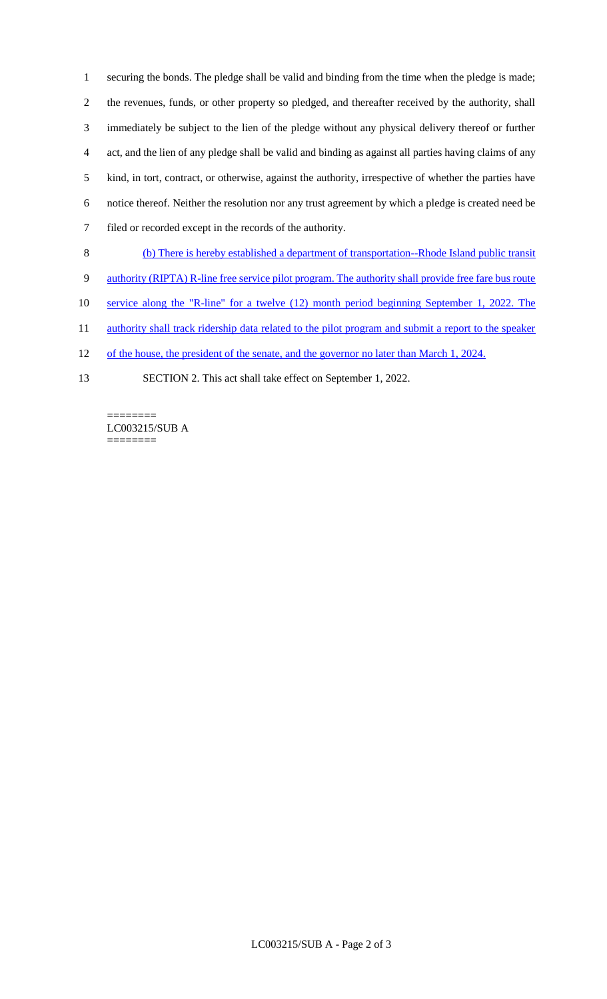securing the bonds. The pledge shall be valid and binding from the time when the pledge is made; the revenues, funds, or other property so pledged, and thereafter received by the authority, shall immediately be subject to the lien of the pledge without any physical delivery thereof or further act, and the lien of any pledge shall be valid and binding as against all parties having claims of any kind, in tort, contract, or otherwise, against the authority, irrespective of whether the parties have notice thereof. Neither the resolution nor any trust agreement by which a pledge is created need be filed or recorded except in the records of the authority.

- 8 (b) There is hereby established a department of transportation--Rhode Island public transit
- 9 authority (RIPTA) R-line free service pilot program. The authority shall provide free fare bus route
- 10 service along the "R-line" for a twelve (12) month period beginning September 1, 2022. The
- 11 authority shall track ridership data related to the pilot program and submit a report to the speaker
- 12 of the house, the president of the senate, and the governor no later than March 1, 2024.
- 13 SECTION 2. This act shall take effect on September 1, 2022.

======== LC003215/SUB A ========